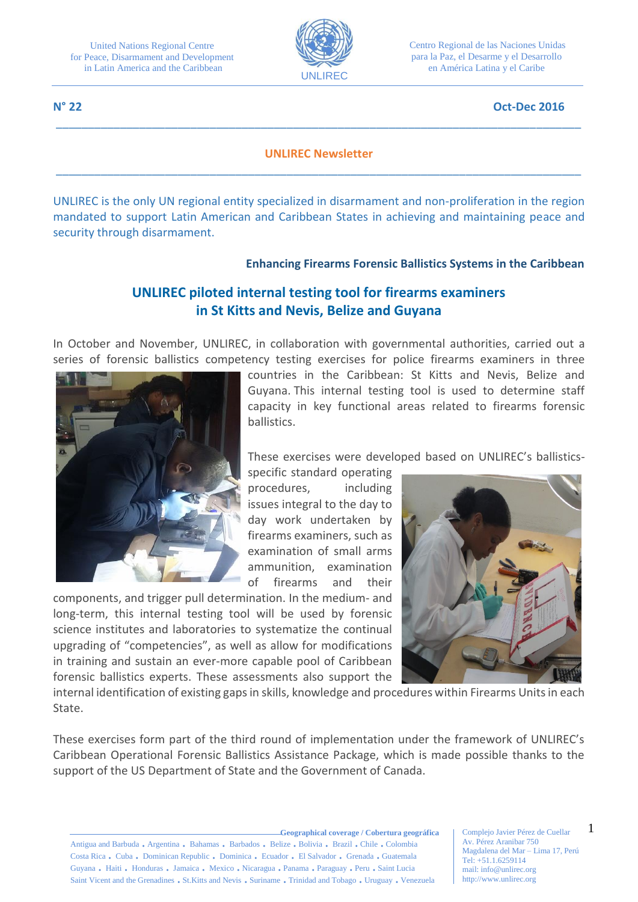

Centro Regional de las Naciones Unidas para la Paz, el Desarme y el Desarrollo en América Latina y el Caribe

#### **N° 22 Oct-Dec 2016**

#### **UNLIREC Newsletter** \_\_\_\_\_\_\_\_\_\_\_\_\_\_\_\_\_\_\_\_\_\_\_\_\_\_\_\_\_\_\_\_\_\_\_\_\_\_\_\_\_\_\_\_\_\_\_\_\_\_\_\_\_\_\_\_\_\_\_\_\_\_\_\_\_\_\_\_\_\_\_\_\_\_\_\_\_\_\_\_\_\_

\_\_\_\_\_\_\_\_\_\_\_\_\_\_\_\_\_\_\_\_\_\_\_\_\_\_\_\_\_\_\_\_\_\_\_\_\_\_\_\_\_\_\_\_\_\_\_\_\_\_\_\_\_\_\_\_\_\_\_\_\_\_\_\_\_\_\_\_\_\_\_\_\_\_\_\_\_\_\_\_\_\_

UNLIREC is the only UN regional entity specialized in disarmament and non-proliferation in the region mandated to support Latin American and Caribbean States in achieving and maintaining peace and security through disarmament.

#### **Enhancing Firearms Forensic Ballistics Systems in the Caribbean**

# **UNLIREC piloted internal testing tool for firearms examiners in St Kitts and Nevis, Belize and Guyana**

In October and November, UNLIREC, in collaboration with governmental authorities, carried out a series of forensic ballistics competency testing exercises for police firearms examiners in three



countries in the Caribbean: St Kitts and Nevis, Belize and Guyana. This internal testing tool is used to determine staff capacity in key functional areas related to firearms forensic ballistics.

These exercises were developed based on UNLIREC's ballistics-

specific standard operating procedures, including issues integral to the day to day work undertaken by firearms examiners, such as examination of small arms ammunition, examination of firearms and their

components, and trigger pull determination. In the medium- and long-term, this internal testing tool will be used by forensic science institutes and laboratories to systematize the continual upgrading of "competencies", as well as allow for modifications in training and sustain an ever-more capable pool of Caribbean forensic ballistics experts. These assessments also support the



internal identification of existing gaps in skills, knowledge and procedures within Firearms Units in each State.

These exercises form part of the third round of implementation under the framework of UNLIREC's Caribbean Operational Forensic Ballistics Assistance Package, which is made possible thanks to the support of the US Department of State and the Government of Canada.

Complejo Javier Pérez de Cuellar Av. Pérez Aranibar 750 Magdalena del Mar – Lima 17, Perú Tel: +51.1.6259114 mail: info@unlirec.org http://www.unlirec.org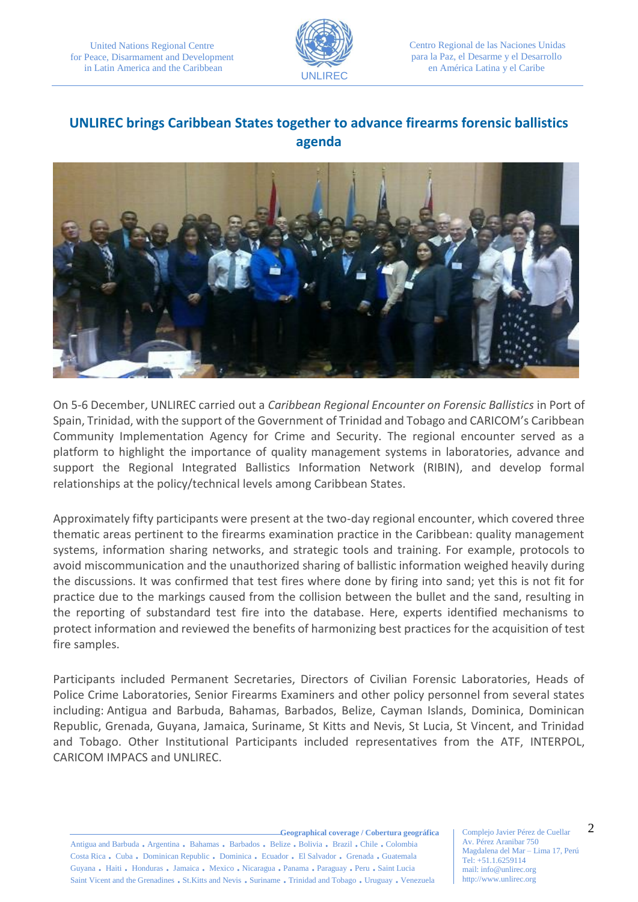

Centro Regional de las Naciones Unidas para la Paz, el Desarme y el Desarrollo en América Latina y el Caribe

# **UNLIREC brings Caribbean States together to advance firearms forensic ballistics agenda**



On 5-6 December, UNLIREC carried out a *Caribbean Regional Encounter on Forensic Ballistics* in Port of Spain, Trinidad, with the support of the Government of Trinidad and Tobago and CARICOM's Caribbean Community Implementation Agency for Crime and Security. The regional encounter served as a platform to highlight the importance of quality management systems in laboratories, advance and support the Regional Integrated Ballistics Information Network (RIBIN), and develop formal relationships at the policy/technical levels among Caribbean States.

Approximately fifty participants were present at the two-day regional encounter, which covered three thematic areas pertinent to the firearms examination practice in the Caribbean: quality management systems, information sharing networks, and strategic tools and training. For example, protocols to avoid miscommunication and the unauthorized sharing of ballistic information weighed heavily during the discussions. It was confirmed that test fires where done by firing into sand; yet this is not fit for practice due to the markings caused from the collision between the bullet and the sand, resulting in the reporting of substandard test fire into the database. Here, experts identified mechanisms to protect information and reviewed the benefits of harmonizing best practices for the acquisition of test fire samples.

Participants included Permanent Secretaries, Directors of Civilian Forensic Laboratories, Heads of Police Crime Laboratories, Senior Firearms Examiners and other policy personnel from several states including: Antigua and Barbuda, Bahamas, Barbados, Belize, Cayman Islands, Dominica, Dominican Republic, Grenada, Guyana, Jamaica, Suriname, St Kitts and Nevis, St Lucia, St Vincent, and Trinidad and Tobago. Other Institutional Participants included representatives from the ATF, INTERPOL, CARICOM IMPACS and UNLIREC.

**Geographical coverage / Cobertura geográfica** Antigua and Barbuda . Argentina . Bahamas . Barbados . Belize . Bolivia . Brazil . Chile . Colombia Costa Rica . Cuba . Dominican Republic . Dominica . Ecuador . El Salvador . Grenada . Guatemala Guyana . Haiti . Honduras . Jamaica . Mexico . Nicaragua . Panama . Paraguay . Peru . Saint Lucia Saint Vicent and the Grenadines . St.Kitts and Nevis . Suriname . Trinidad and Tobago . Uruguay . Venezuela

Complejo Javier Pérez de Cuellar Av. Pérez Aranibar 750 Magdalena del Mar – Lima 17, Perú Tel: +51.1.6259114 mail: info@unlirec.org http://www.unlirec.org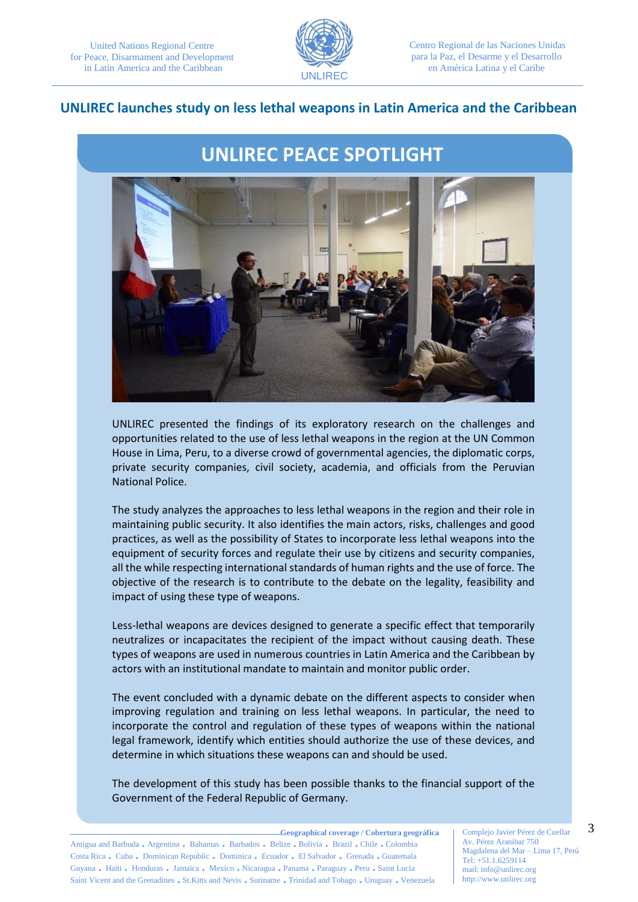

Centro Regional de las Naciones Unidas para la Paz, el Desarme y el Desarrollo en América Latina y el Caribe

#### **UNLIREC launches study on less lethal weapons in Latin America and the Caribbean**

# **UNLIREC PEACE SPOTLIGHT**



UNLIREC presented the findings of its exploratory research on the challenges and opportunities related to the use of less lethal weapons in the region at the UN Common House in Lima, Peru, to a diverse crowd of governmental agencies, the diplomatic corps, private security companies, civil society, academia, and officials from the Peruvian National Police.

The study analyzes the approaches to less lethal weapons in the region and their role in maintaining public security. It also identifies the main actors, risks, challenges and good practices, as well as the possibility of States to incorporate less lethal weapons into the equipment of security forces and regulate their use by citizens and security companies, all the while respecting international standards of human rights and the use of force. The objective of the research is to contribute to the debate on the legality, feasibility and impact of using these type of weapons.

Less-lethal weapons are devices designed to generate a specific effect that temporarily neutralizes or incapacitates the recipient of the impact without causing death. These types of weapons are used in numerous countries in Latin America and the Caribbean by actors with an institutional mandate to maintain and monitor public order.

The event concluded with a dynamic debate on the different aspects to consider when improving regulation and training on less lethal weapons. In particular, the need to incorporate the control and regulation of these types of weapons within the national legal framework, identify which entities should authorize the use of these devices, and determine in which situations these weapons can and should be used.

The development of this study has been possible thanks to the financial support of the Government of the Federal Republic of Germany.

**Geographical coverage / Cobertura geográfica** Antigua and Barbuda . Argentina . Bahamas . Barbados . Belize . Bolivia . Brazil . Chile . Colombia Costa Rica . Cuba . Dominican Republic . Dominica . Ecuador . El Salvador . Grenada . Guatemala Guyana . Haiti . Honduras . Jamaica . Mexico . Nicaragua . Panama . Paraguay . Peru . Saint Lucia Saint Vicent and the Grenadines . St.Kitts and Nevis . Suriname . Trinidad and Tobago . Uruguay . Venezuela

Complejo Javier Pérez de Cuellar Av. Pérez Aranibar 750 Magdalena del Mar – Lima 17, Perú Tel: +51.1.6259114 mail: info@unlirec.org http://www.unlirec.org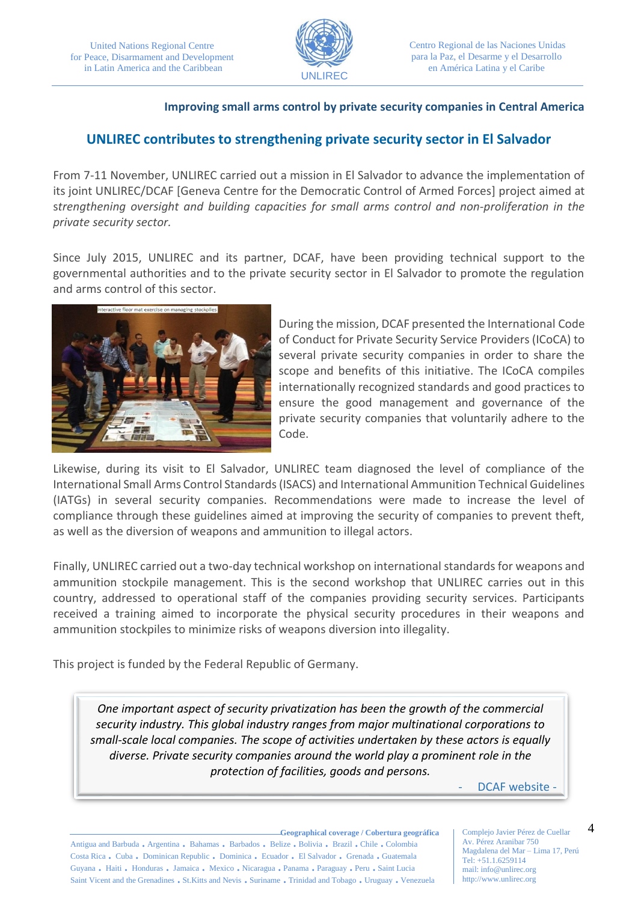

#### **Improving small arms control by private security companies in Central America**

## **UNLIREC contributes to strengthening private security sector in El Salvador**

From 7-11 November, UNLIREC carried out a mission in El Salvador to advance the implementation of its joint UNLIREC/DCAF [Geneva Centre for the Democratic Control of Armed Forces] project aimed at s*trengthening oversight and building capacities for small arms control and non-proliferation in the private security sector.*

Since July 2015, UNLIREC and its partner, DCAF, have been providing technical support to the governmental authorities and to the private security sector in El Salvador to promote the regulation and arms control of this sector.



During the mission, DCAF presented the International Code of Conduct for Private Security Service Providers (ICoCA) to several private security companies in order to share the scope and benefits of this initiative. The ICoCA compiles internationally recognized standards and good practices to ensure the good management and governance of the private security companies that voluntarily adhere to the Code.

Likewise, during its visit to El Salvador, UNLIREC team diagnosed the level of compliance of the International Small Arms Control Standards (ISACS) and International Ammunition Technical Guidelines (IATGs) in several security companies. Recommendations were made to increase the level of compliance through these guidelines aimed at improving the security of companies to prevent theft, as well as the diversion of weapons and ammunition to illegal actors.

Finally, UNLIREC carried out a two-day technical workshop on international standards for weapons and ammunition stockpile management. This is the second workshop that UNLIREC carries out in this country, addressed to operational staff of the companies providing security services. Participants received a training aimed to incorporate the physical security procedures in their weapons and ammunition stockpiles to minimize risks of weapons diversion into illegality.

This project is funded by the Federal Republic of Germany.

*One important aspect of security privatization has been the growth of the commercial security industry. This global industry ranges from major multinational corporations to small-scale local companies. The scope of activities undertaken by these actors is equally diverse. Private security companies around the world play a prominent role in the protection of facilities, goods and persons.*

- DCAF website -

**Geographical coverage / Cobertura geográfica** Antigua and Barbuda . Argentina . Bahamas . Barbados . Belize . Bolivia . Brazil . Chile . Colombia Costa Rica . Cuba . Dominican Republic . Dominica . Ecuador . El Salvador . Grenada . Guatemala Guyana . Haiti . Honduras . Jamaica . Mexico . Nicaragua . Panama . Paraguay . Peru . Saint Lucia Saint Vicent and the Grenadines . St.Kitts and Nevis . Suriname . Trinidad and Tobago . Uruguay . Venezuela

Complejo Javier Pérez de Cuellar Av. Pérez Aranibar 750 Magdalena del Mar – Lima 17, Perú Tel: +51.1.6259114 mail: info@unlirec.org http://www.unlirec.org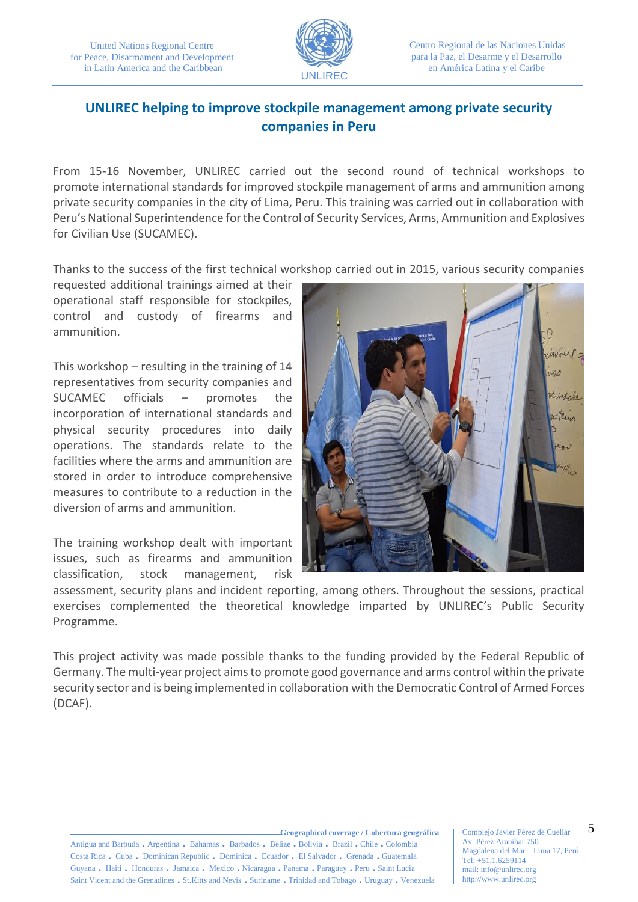

# **UNLIREC helping to improve stockpile management among private security companies in Peru**

From 15-16 November, UNLIREC carried out the second round of technical workshops to promote international standards for improved stockpile management of arms and ammunition among private security companies in the city of Lima, Peru. This training was carried out in collaboration with Peru's National Superintendence for the Control of Security Services, Arms, Ammunition and Explosives for Civilian Use (SUCAMEC).

Thanks to the success of the first technical workshop carried out in 2015, various security companies

requested additional trainings aimed at their operational staff responsible for stockpiles, control and custody of firearms and ammunition.

This workshop – resulting in the training of 14 representatives from security companies and SUCAMEC officials – promotes the incorporation of international standards and physical security procedures into daily operations. The standards relate to the facilities where the arms and ammunition are stored in order to introduce comprehensive measures to contribute to a reduction in the diversion of arms and ammunition.

The training workshop dealt with important issues, such as firearms and ammunition classification, stock management, risk



assessment, security plans and incident reporting, among others. Throughout the sessions, practical exercises complemented the theoretical knowledge imparted by UNLIREC's Public Security Programme.

This project activity was made possible thanks to the funding provided by the Federal Republic of Germany. The multi-year project aims to promote good governance and arms control within the private security sector and is being implemented in collaboration with the Democratic Control of Armed Forces (DCAF).

**Geographical coverage / Cobertura geográfica**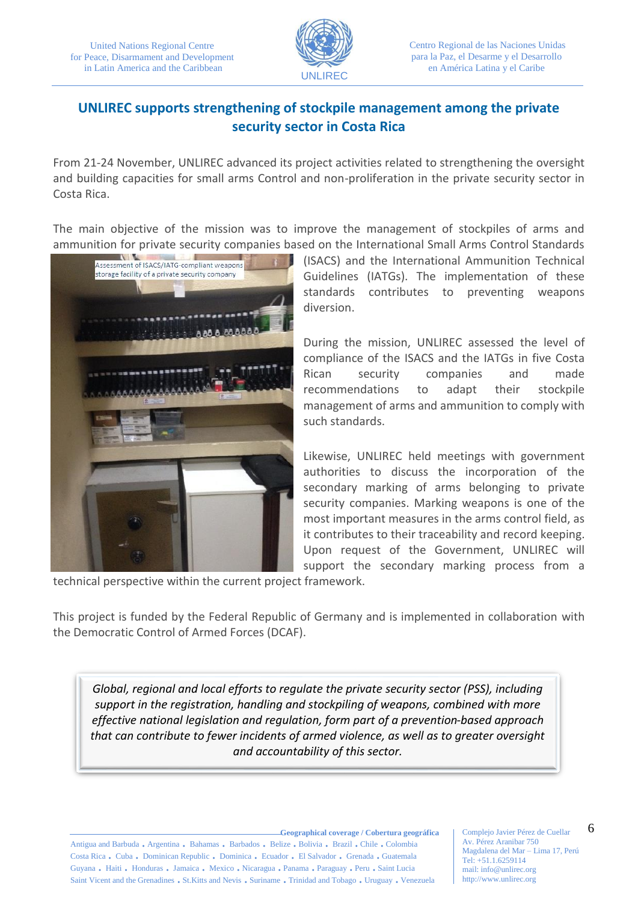

# **UNLIREC supports strengthening of stockpile management among the private security sector in Costa Rica**

From 21-24 November, UNLIREC advanced its project activities related to strengthening the oversight and building capacities for small arms Control and non-proliferation in the private security sector in Costa Rica.

The main objective of the mission was to improve the management of stockpiles of arms and ammunition for private security companies based on the International Small Arms Control Standards



(ISACS) and the International Ammunition Technical Guidelines (IATGs). The implementation of these standards contributes to preventing weapons diversion.

During the mission, UNLIREC assessed the level of compliance of the ISACS and the IATGs in five Costa Rican security companies and made recommendations to adapt their stockpile management of arms and ammunition to comply with such standards.

Likewise, UNLIREC held meetings with government authorities to discuss the incorporation of the secondary marking of arms belonging to private security companies. Marking weapons is one of the most important measures in the arms control field, as it contributes to their traceability and record keeping. Upon request of the Government, UNLIREC will support the secondary marking process from a

technical perspective within the current project framework.

This project is funded by the Federal Republic of Germany and is implemented in collaboration with the Democratic Control of Armed Forces (DCAF).

*Global, regional and local efforts to regulate the private security sector (PSS), including support in the registration, handling and stockpiling of weapons, combined with more effective national legislation and regulation, form part of a prevention-based approach that can contribute to fewer incidents of armed violence, as well as to greater oversight and accountability of this sector.*

**Geographical coverage / Cobertura geográfica** Antigua and Barbuda . Argentina . Bahamas . Barbados . Belize . Bolivia . Brazil . Chile . Colombia Costa Rica . Cuba . Dominican Republic . Dominica . Ecuador . El Salvador . Grenada . Guatemala Guyana . Haiti . Honduras . Jamaica . Mexico . Nicaragua . Panama . Paraguay . Peru . Saint Lucia Saint Vicent and the Grenadines . St.Kitts and Nevis . Suriname . Trinidad and Tobago . Uruguay . Venezuela

Complejo Javier Pérez de Cuellar Av. Pérez Aranibar 750 Magdalena del Mar – Lima 17, Perú Tel: +51.1.6259114 mail: info@unlirec.org http://www.unlirec.org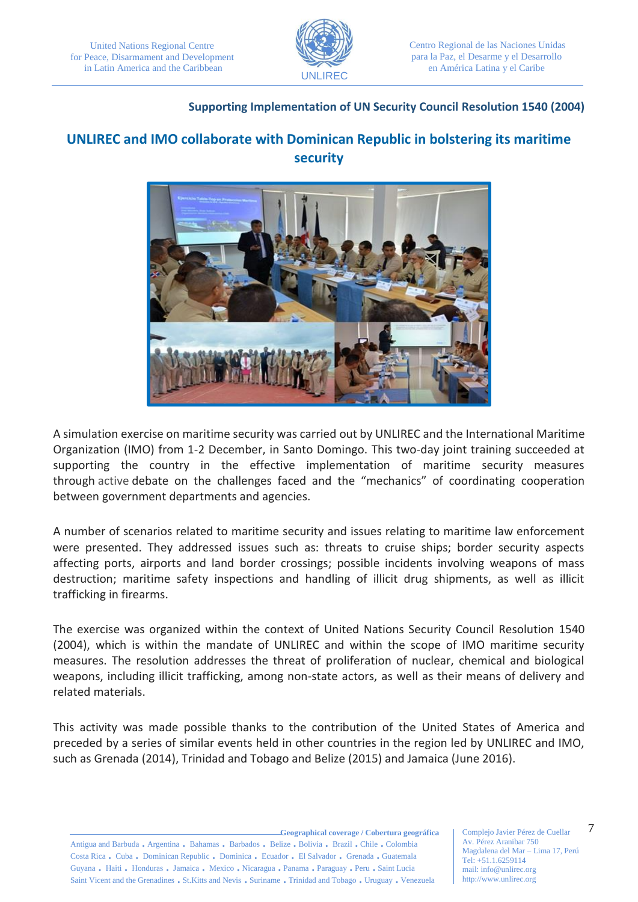

#### **Supporting Implementation of UN Security Council Resolution 1540 (2004)**

# **UNLIREC and IMO collaborate with Dominican Republic in bolstering its maritime security**



A simulation exercise on maritime security was carried out by UNLIREC and the International Maritime Organization (IMO) from 1-2 December, in Santo Domingo. This two-day joint training succeeded at supporting the country in the effective implementation of maritime security measures through active debate on the challenges faced and the "mechanics" of coordinating cooperation between government departments and agencies.

A number of scenarios related to maritime security and issues relating to maritime law enforcement were presented. They addressed issues such as: threats to cruise ships; border security aspects affecting ports, airports and land border crossings; possible incidents involving weapons of mass destruction; maritime safety inspections and handling of illicit drug shipments, as well as illicit trafficking in firearms.

The exercise was organized within the context of United Nations Security Council Resolution 1540 (2004), which is within the mandate of UNLIREC and within the scope of IMO maritime security measures. The resolution addresses the threat of proliferation of nuclear, chemical and biological weapons, including illicit trafficking, among non-state actors, as well as their means of delivery and related materials.

This activity was made possible thanks to the contribution of the United States of America and preceded by a series of similar events held in other countries in the region led by UNLIREC and IMO, such as Grenada (2014), Trinidad and Tobago and Belize (2015) and Jamaica (June 2016).

**Geographical coverage / Cobertura geográfica** Antigua and Barbuda . Argentina . Bahamas . Barbados . Belize . Bolivia . Brazil . Chile . Colombia Costa Rica . Cuba . Dominican Republic . Dominica . Ecuador . El Salvador . Grenada . Guatemala Guyana . Haiti . Honduras . Jamaica . Mexico . Nicaragua . Panama . Paraguay . Peru . Saint Lucia Saint Vicent and the Grenadines . St.Kitts and Nevis . Suriname . Trinidad and Tobago . Uruguay . Venezuela

Complejo Javier Pérez de Cuellar Av. Pérez Aranibar 750 Magdalena del Mar – Lima 17, Perú Tel: +51.1.6259114 mail: info@unlirec.org http://www.unlirec.org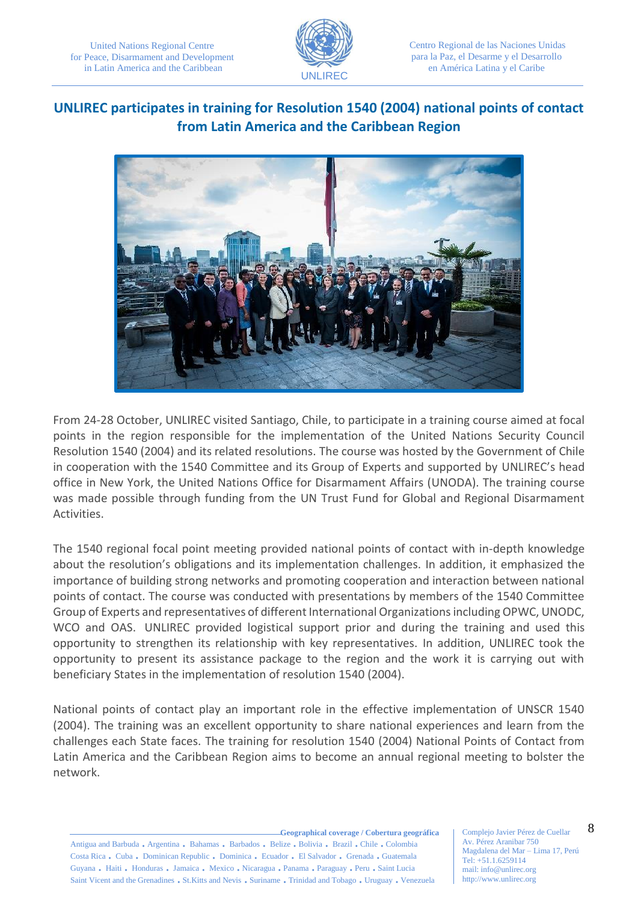

Centro Regional de las Naciones Unidas para la Paz, el Desarme y el Desarrollo en América Latina y el Caribe

# **UNLIREC participates in training for Resolution 1540 (2004) national points of contact from Latin America and the Caribbean Region**



From 24-28 October, UNLIREC visited Santiago, Chile, to participate in a training course aimed at focal points in the region responsible for the implementation of the United Nations Security Council Resolution 1540 (2004) and its related resolutions. The course was hosted by the Government of Chile in cooperation with the 1540 Committee and its Group of Experts and supported by UNLIREC's head office in New York, the United Nations Office for Disarmament Affairs (UNODA). The training course was made possible through funding from the UN Trust Fund for Global and Regional Disarmament Activities.

The 1540 regional focal point meeting provided national points of contact with in-depth knowledge about the resolution's obligations and its implementation challenges. In addition, it emphasized the importance of building strong networks and promoting cooperation and interaction between national points of contact. The course was conducted with presentations by members of the 1540 Committee Group of Experts and representatives of different International Organizations including OPWC, UNODC, WCO and OAS. UNLIREC provided logistical support prior and during the training and used this opportunity to strengthen its relationship with key representatives. In addition, UNLIREC took the opportunity to present its assistance package to the region and the work it is carrying out with beneficiary States in the implementation of resolution 1540 (2004).

National points of contact play an important role in the effective implementation of UNSCR 1540 (2004). The training was an excellent opportunity to share national experiences and learn from the challenges each State faces. The training for resolution 1540 (2004) National Points of Contact from Latin America and the Caribbean Region aims to become an annual regional meeting to bolster the network.

**Geographical coverage / Cobertura geográfica** Antigua and Barbuda . Argentina . Bahamas . Barbados . Belize . Bolivia . Brazil . Chile . Colombia Costa Rica . Cuba . Dominican Republic . Dominica . Ecuador . El Salvador . Grenada . Guatemala Guyana . Haiti . Honduras . Jamaica . Mexico . Nicaragua . Panama . Paraguay . Peru . Saint Lucia Saint Vicent and the Grenadines . St.Kitts and Nevis . Suriname . Trinidad and Tobago . Uruguay . Venezuela

Complejo Javier Pérez de Cuellar Av. Pérez Aranibar 750 Magdalena del Mar – Lima 17, Perú Tel: +51.1.6259114 mail: info@unlirec.org http://www.unlirec.org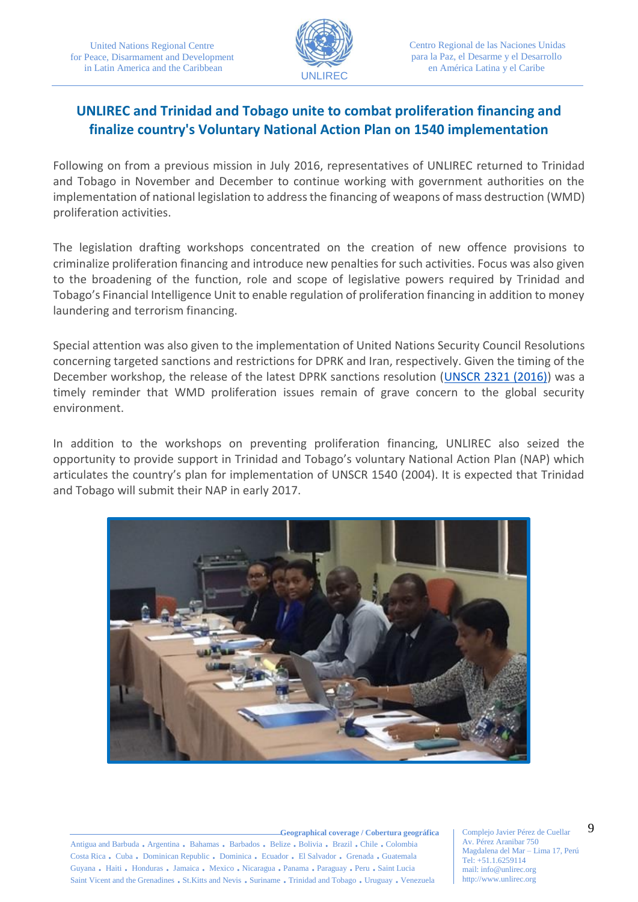

# **UNLIREC and Trinidad and Tobago unite to combat proliferation financing and finalize country's Voluntary National Action Plan on 1540 implementation**

Following on from a previous mission in July 2016, representatives of UNLIREC returned to Trinidad and Tobago in November and December to continue working with government authorities on the implementation of national legislation to address the financing of weapons of mass destruction (WMD) proliferation activities.

The legislation drafting workshops concentrated on the creation of new offence provisions to criminalize proliferation financing and introduce new penalties for such activities. Focus was also given to the broadening of the function, role and scope of legislative powers required by Trinidad and Tobago's Financial Intelligence Unit to enable regulation of proliferation financing in addition to money laundering and terrorism financing.

Special attention was also given to the implementation of United Nations Security Council Resolutions concerning targeted sanctions and restrictions for DPRK and Iran, respectively. Given the timing of the December workshop, the release of the latest DPRK sanctions resolution [\(UNSCR 2321 \(2016\)\)](http://www.un.org/en/ga/search/view_doc.asp?symbol=S/RES/2321(2016)) was a timely reminder that WMD proliferation issues remain of grave concern to the global security environment.

In addition to the workshops on preventing proliferation financing, UNLIREC also seized the opportunity to provide support in Trinidad and Tobago's voluntary National Action Plan (NAP) which articulates the country's plan for implementation of UNSCR 1540 (2004). It is expected that Trinidad and Tobago will submit their NAP in early 2017.



**Geographical coverage / Cobertura geográfica** Antigua and Barbuda . Argentina . Bahamas . Barbados . Belize . Bolivia . Brazil . Chile . Colombia Costa Rica . Cuba . Dominican Republic . Dominica . Ecuador . El Salvador . Grenada . Guatemala Guyana . Haiti . Honduras . Jamaica . Mexico . Nicaragua . Panama . Paraguay . Peru . Saint Lucia Saint Vicent and the Grenadines . St.Kitts and Nevis . Suriname . Trinidad and Tobago . Uruguay . Venezuela

Complejo Javier Pérez de Cuellar Av. Pérez Aranibar 750 Magdalena del Mar – Lima 17, Perú Tel: +51.1.6259114 mail: info@unlirec.org http://www.unlirec.org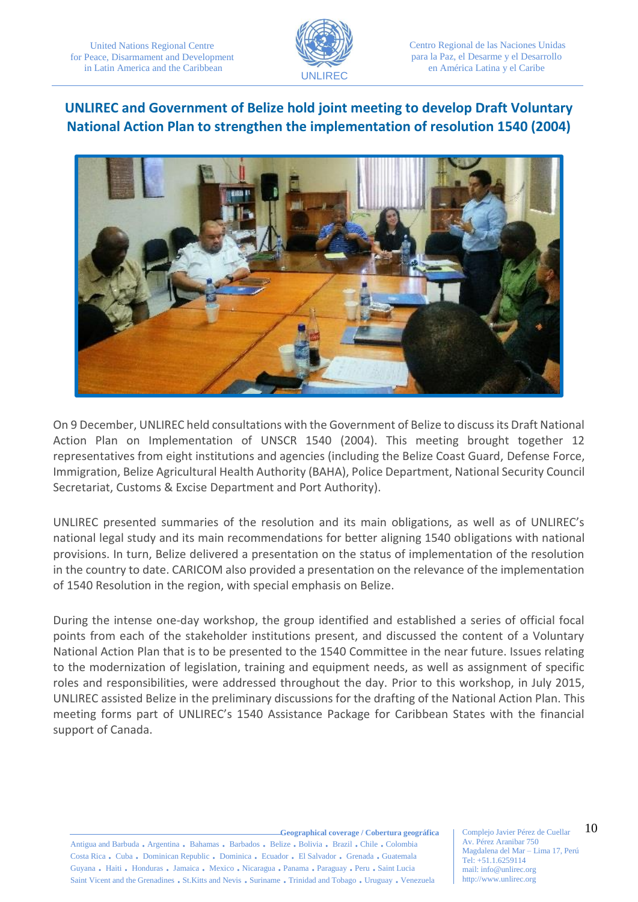

Centro Regional de las Naciones Unidas para la Paz, el Desarme y el Desarrollo en América Latina y el Caribe

## **UNLIREC and Government of Belize hold joint meeting to develop Draft Voluntary National Action Plan to strengthen the implementation of resolution 1540 (2004)**



On 9 December, UNLIREC held consultations with the Government of Belize to discuss its Draft National Action Plan on Implementation of UNSCR 1540 (2004). This meeting brought together 12 representatives from eight institutions and agencies (including the Belize Coast Guard, Defense Force, Immigration, Belize Agricultural Health Authority (BAHA), Police Department, National Security Council Secretariat, Customs & Excise Department and Port Authority).

UNLIREC presented summaries of the resolution and its main obligations, as well as of UNLIREC's national legal study and its main recommendations for better aligning 1540 obligations with national provisions. In turn, Belize delivered a presentation on the status of implementation of the resolution in the country to date. CARICOM also provided a presentation on the relevance of the implementation of 1540 Resolution in the region, with special emphasis on Belize.

During the intense one-day workshop, the group identified and established a series of official focal points from each of the stakeholder institutions present, and discussed the content of a Voluntary National Action Plan that is to be presented to the 1540 Committee in the near future. Issues relating to the modernization of legislation, training and equipment needs, as well as assignment of specific roles and responsibilities, were addressed throughout the day. Prior to this workshop, in July 2015, UNLIREC assisted Belize in the preliminary discussions for the drafting of the National Action Plan. This meeting forms part of UNLIREC's 1540 Assistance Package for Caribbean States with the financial support of Canada.

**Geographical coverage / Cobertura geográfica**

Antigua and Barbuda . Argentina . Bahamas . Barbados . Belize . Bolivia . Brazil . Chile . Colombia Costa Rica . Cuba . Dominican Republic . Dominica . Ecuador . El Salvador . Grenada . Guatemala Guyana . Haiti . Honduras . Jamaica . Mexico . Nicaragua . Panama . Paraguay . Peru . Saint Lucia Saint Vicent and the Grenadines . St.Kitts and Nevis . Suriname . Trinidad and Tobago . Uruguay . Venezuela